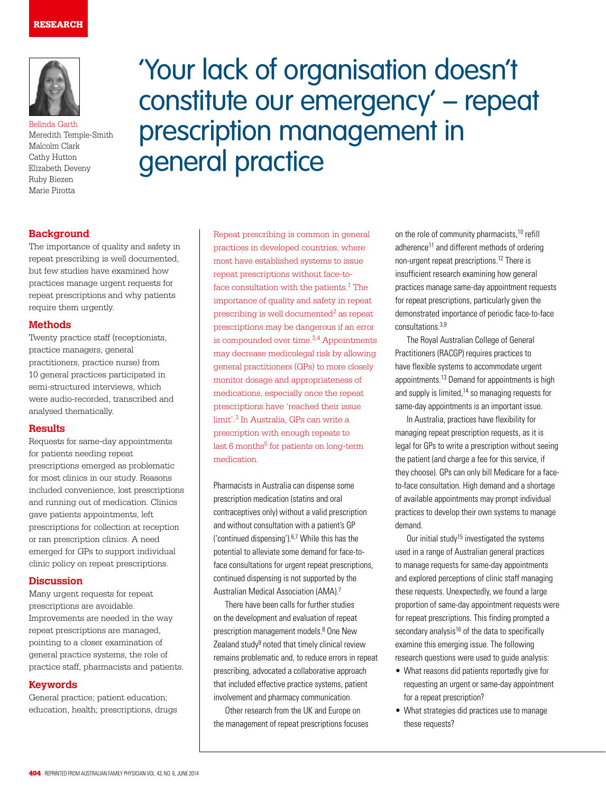

Belinda Garth Meredith Temple-Smith Malcolm Clark Cathy Hutton Elizabeth Deveny Ruby Biezen Marie Pirotta

## **Background**

The importance of quality and safety in repeat prescribing is well documented, but few studies have examined how practices manage urgent requests for repeat prescriptions and why patients require them urgently.

#### **Methods**

Twenty practice staff (receptionists, practice managers, general practitioners, practice nurse) from 10 general practices participated in semi-structured interviews, which were audio-recorded, transcribed and analysed thematically.

#### **Results**

Requests for same-day appointments for patients needing repeat prescriptions emerged as problematic for most clinics in our study. Reasons included convenience, lost prescriptions and running out of medication. Clinics gave patients appointments, left prescriptions for collection at reception or ran prescription clinics. A need emerged for GPs to support individual clinic policy on repeat prescriptions.

#### **Discussion**

Many urgent requests for repeat prescriptions are avoidable. Improvements are needed in the way repeat prescriptions are managed, pointing to a closer examination of general practice systems, the role of practice staff, pharmacists and patients.

#### **Keywords**

General practice; patient education; education, health; prescriptions, drugs

# 'Your lack of organisation doesn't constitute our emergency' – repeat prescription management in general practice

Repeat prescribing is common in general practices in developed countries, where most have established systems to issue repeat prescriptions without face-toface consultation with the patients.<sup>1</sup> The importance of quality and safety in repeat prescribing is well documented $2$  as repeat prescriptions may be dangerous if an error is compounded over time.<sup>3,4</sup> Appointments may decrease medicolegal risk by allowing general practitioners (GPs) to more closely monitor dosage and appropriateness of medications, especially once the repeat prescriptions have 'reached their issue limit'.3 In Australia, GPs can write a prescription with enough repeats to last 6 months<sup>5</sup> for patients on long-term medication.

Pharmacists in Australia can dispense some prescription medication (statins and oral contraceptives only) without a valid prescription and without consultation with a patient's GP ('continued dispensing'). $6,7$  While this has the potential to alleviate some demand for face-toface consultations for urgent repeat prescriptions, continued dispensing is not supported by the Australian Medical Association (AMA).7

There have been calls for further studies on the development and evaluation of repeat prescription management models.<sup>8</sup> One New Zealand study<sup>9</sup> noted that timely clinical review remains problematic and, to reduce errors in repeat prescribing, advocated a collaborative approach that included effective practice systems, patient involvement and pharmacy communication.

Other research from the UK and Europe on the management of repeat prescriptions focuses on the role of community pharmacists,10 refill adherence11 and different methods of ordering non-urgent repeat prescriptions.12 There is insufficient research examining how general practices manage same-day appointment requests for repeat prescriptions, particularly given the demonstrated importance of periodic face-to-face consultations.3,9

The Royal Australian College of General Practitioners (RACGP) requires practices to have flexible systems to accommodate urgent appointments.13 Demand for appointments is high and supply is limited, $14$  so managing requests for same-day appointments is an important issue.

In Australia, practices have flexibility for managing repeat prescription requests, as it is legal for GPs to write a prescription without seeing the patient (and charge a fee for this service, if they choose). GPs can only bill Medicare for a faceto-face consultation. High demand and a shortage of available appointments may prompt individual practices to develop their own systems to manage demand.

Our initial study<sup>15</sup> investigated the systems used in a range of Australian general practices to manage requests for same-day appointments and explored perceptions of clinic staff managing these requests. Unexpectedly, we found a large proportion of same-day appointment requests were for repeat prescriptions. This finding prompted a secondary analysis<sup>16</sup> of the data to specifically examine this emerging issue. The following research questions were used to guide analysis:

- What reasons did patients reportedly give for requesting an urgent or same-day appointment for a repeat prescription?
- What strategies did practices use to manage these requests?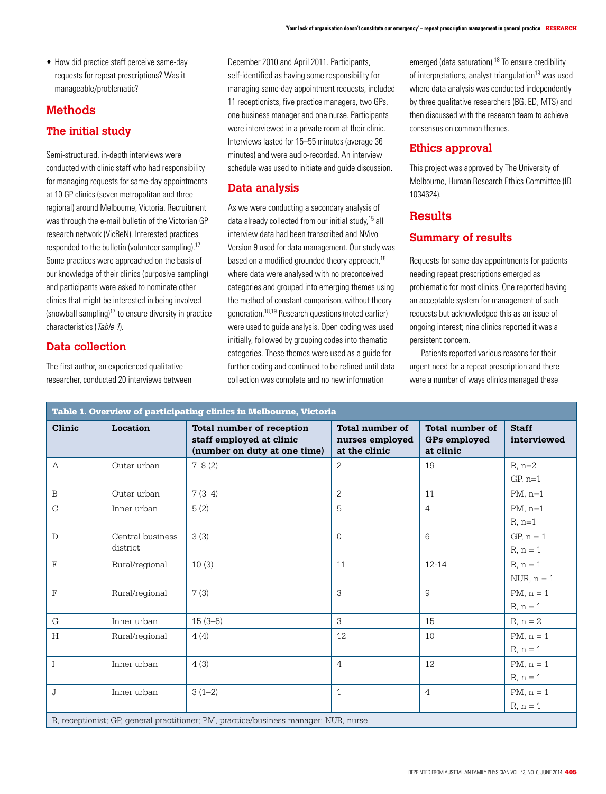• How did practice staff perceive same-day requests for repeat prescriptions? Was it manageable/problematic?

## **Methods The initial study**

Semi-structured, in-depth interviews were conducted with clinic staff who had responsibility for managing requests for same-day appointments at 10 GP clinics (seven metropolitan and three regional) around Melbourne, Victoria. Recruitment was through the e-mail bulletin of the Victorian GP research network (VicReN). Interested practices responded to the bulletin (volunteer sampling).<sup>17</sup> Some practices were approached on the basis of our knowledge of their clinics (purposive sampling) and participants were asked to nominate other clinics that might be interested in being involved (snowball sampling)17 to ensure diversity in practice characteristics (Table 1).

## **Data collection**

The first author, an experienced qualitative researcher, conducted 20 interviews between December 2010 and April 2011. Participants, self-identified as having some responsibility for managing same-day appointment requests, included 11 receptionists, five practice managers, two GPs, one business manager and one nurse. Participants were interviewed in a private room at their clinic. Interviews lasted for 15–55 minutes (average 36 minutes) and were audio-recorded. An interview schedule was used to initiate and guide discussion.

### **Data analysis**

As we were conducting a secondary analysis of data already collected from our initial study,<sup>15</sup> all interview data had been transcribed and NVivo Version 9 used for data management. Our study was based on a modified grounded theory approach,<sup>18</sup> where data were analysed with no preconceived categories and grouped into emerging themes using the method of constant comparison, without theory generation.18,19 Research questions (noted earlier) were used to guide analysis. Open coding was used initially, followed by grouping codes into thematic categories. These themes were used as a guide for further coding and continued to be refined until data collection was complete and no new information

emerged (data saturation).<sup>18</sup> To ensure credibility of interpretations, analyst triangulation<sup>19</sup> was used where data analysis was conducted independently by three qualitative researchers (BG, ED, MTS) and then discussed with the research team to achieve consensus on common themes.

#### **Ethics approval**

This project was approved by The University of Melbourne, Human Research Ethics Committee (ID 1034624).

## **Results**

## **Summary of results**

Requests for same-day appointments for patients needing repeat prescriptions emerged as problematic for most clinics. One reported having an acceptable system for management of such requests but acknowledged this as an issue of ongoing interest; nine clinics reported it was a persistent concern.

Patients reported various reasons for their urgent need for a repeat prescription and there were a number of ways clinics managed these

| Table 1. Overview of participating clinics in Melbourne, Victoria                    |                              |                                                                                       |                                                            |                                                     |                              |
|--------------------------------------------------------------------------------------|------------------------------|---------------------------------------------------------------------------------------|------------------------------------------------------------|-----------------------------------------------------|------------------------------|
| Clinic                                                                               | Location                     | Total number of reception<br>staff employed at clinic<br>(number on duty at one time) | <b>Total number of</b><br>nurses employed<br>at the clinic | <b>Total number of</b><br>GPs employed<br>at clinic | <b>Staff</b><br>interviewed  |
| $\mathcal{A}$                                                                        | Outer urban                  | $7 - 8(2)$                                                                            | $\mathcal{L}$                                              | 19                                                  | $R$ , $n=2$<br>$GP, n=1$     |
| B                                                                                    | Outer urban                  | $7(3-4)$                                                                              | $\overline{2}$                                             | 11                                                  | $PM$ , n=1                   |
| $\overline{C}$                                                                       | Inner urban                  | 5(2)                                                                                  | 5                                                          | $\overline{4}$                                      | $PM$ , n=1<br>$R, n=1$       |
| D                                                                                    | Central business<br>district | 3(3)                                                                                  | $\Omega$                                                   | 6                                                   | $GP, n = 1$<br>$R, n = 1$    |
| $\mathbf E$                                                                          | Rural/regional               | 10(3)                                                                                 | 11                                                         | $12 - 14$                                           | $R, n = 1$<br>$NUR, n = 1$   |
| F                                                                                    | Rural/regional               | 7(3)                                                                                  | 3                                                          | 9                                                   | $PM$ , $n = 1$<br>$R, n = 1$ |
| G                                                                                    | Inner urban                  | $15(3-5)$                                                                             | 3                                                          | 15                                                  | $R, n = 2$                   |
| H                                                                                    | Rural/regional               | 4(4)                                                                                  | 12                                                         | 10                                                  | $PM, n = 1$<br>$R, n = 1$    |
| T                                                                                    | Inner urban                  | 4(3)                                                                                  | $\overline{4}$                                             | 12                                                  | $PM$ , $n = 1$<br>$R, n = 1$ |
| J                                                                                    | Inner urban                  | $3(1-2)$                                                                              | $\mathbf{1}$                                               | $\overline{4}$                                      | $PM$ , $n = 1$<br>$R, n = 1$ |
| R, receptionist; GP, general practitioner; PM, practice/business manager; NUR, nurse |                              |                                                                                       |                                                            |                                                     |                              |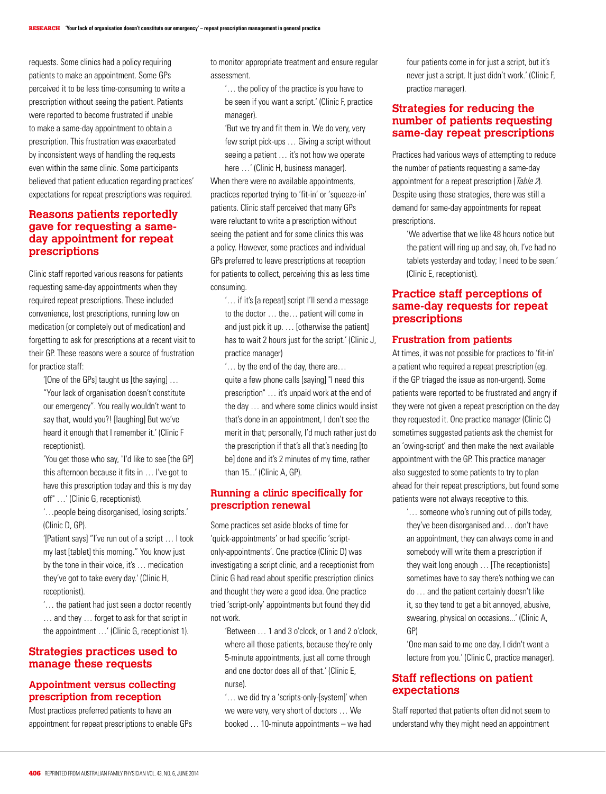requests. Some clinics had a policy requiring patients to make an appointment. Some GPs perceived it to be less time-consuming to write a prescription without seeing the patient. Patients were reported to become frustrated if unable to make a same-day appointment to obtain a prescription. This frustration was exacerbated by inconsistent ways of handling the requests even within the same clinic. Some participants believed that patient education regarding practices' expectations for repeat prescriptions was required.

#### **Reasons patients reportedly gave for requesting a sameday appointment for repeat prescriptions**

Clinic staff reported various reasons for patients requesting same-day appointments when they required repeat prescriptions. These included convenience, lost prescriptions, running low on medication (or completely out of medication) and forgetting to ask for prescriptions at a recent visit to their GP. These reasons were a source of frustration for practice staff:

'[One of the GPs] taught us [the saying] … "Your lack of organisation doesn't constitute our emergency". You really wouldn't want to say that, would you?! [laughing] But we've heard it enough that I remember it.' (Clinic F receptionist).

'You get those who say, "I'd like to see [the GP] this afternoon because it fits in … I've got to have this prescription today and this is my day off" …' (Clinic G, receptionist).

'…people being disorganised, losing scripts.' (Clinic D, GP).

'[Patient says] "I've run out of a script … I took my last [tablet] this morning." You know just by the tone in their voice, it's … medication they've got to take every day.' (Clinic H, receptionist).

'… the patient had just seen a doctor recently … and they … forget to ask for that script in the appointment …' (Clinic G, receptionist 1).

#### **Strategies practices used to manage these requests**

## **Appointment versus collecting prescription from reception**

Most practices preferred patients to have an appointment for repeat prescriptions to enable GPs to monitor appropriate treatment and ensure regular assessment.

'… the policy of the practice is you have to be seen if you want a script.' (Clinic F, practice manager).

'But we try and fit them in. We do very, very few script pick-ups … Giving a script without seeing a patient ... it's not how we operate here ...' (Clinic H, business manager).

When there were no available appointments, practices reported trying to 'fit-in' or 'squeeze-in' patients. Clinic staff perceived that many GPs were reluctant to write a prescription without seeing the patient and for some clinics this was a policy. However, some practices and individual GPs preferred to leave prescriptions at reception for patients to collect, perceiving this as less time consuming.

'… if it's [a repeat] script I'll send a message to the doctor … the… patient will come in and just pick it up. … [otherwise the patient] has to wait 2 hours just for the script.' (Clinic J, practice manager)

'… by the end of the day, there are… quite a few phone calls [saying] "I need this prescription" … it's unpaid work at the end of the day … and where some clinics would insist that's done in an appointment, I don't see the merit in that; personally, I'd much rather just do the prescription if that's all that's needing [to be] done and it's 2 minutes of my time, rather than 15...' (Clinic A, GP).

#### **Running a clinic specifically for prescription renewal**

Some practices set aside blocks of time for 'quick-appointments' or had specific 'scriptonly-appointments'. One practice (Clinic D) was investigating a script clinic, and a receptionist from Clinic G had read about specific prescription clinics and thought they were a good idea. One practice tried 'script-only' appointments but found they did not work.

'Between … 1 and 3 o'clock, or 1 and 2 o'clock, where all those patients, because they're only 5-minute appointments, just all come through and one doctor does all of that.' (Clinic E, nurse).

'… we did try a 'scripts-only-[system]' when we were very, very short of doctors … We booked … 10-minute appointments – we had four patients come in for just a script, but it's never just a script. It just didn't work.' (Clinic F, practice manager).

### **Strategies for reducing the number of patients requesting same-day repeat prescriptions**

Practices had various ways of attempting to reduce the number of patients requesting a same-day appointment for a repeat prescription ( $Table 2$ ). Despite using these strategies, there was still a demand for same-day appointments for repeat prescriptions.

'We advertise that we like 48 hours notice but the patient will ring up and say, oh, I've had no tablets yesterday and today; I need to be seen.' (Clinic E, receptionist).

### **Practice staff perceptions of same-day requests for repeat prescriptions**

#### **Frustration from patients**

At times, it was not possible for practices to 'fit-in' a patient who required a repeat prescription (eg. if the GP triaged the issue as non-urgent). Some patients were reported to be frustrated and angry if they were not given a repeat prescription on the day they requested it. One practice manager (Clinic C) sometimes suggested patients ask the chemist for an 'owing-script' and then make the next available appointment with the GP. This practice manager also suggested to some patients to try to plan ahead for their repeat prescriptions, but found some patients were not always receptive to this.

'… someone who's running out of pills today, they've been disorganised and… don't have an appointment, they can always come in and somebody will write them a prescription if they wait long enough … [The receptionists] sometimes have to say there's nothing we can do … and the patient certainly doesn't like it, so they tend to get a bit annoyed, abusive, swearing, physical on occasions...' (Clinic A, GP)

'One man said to me one day, I didn't want a lecture from you.' (Clinic C, practice manager).

#### **Staff reflections on patient expectations**

Staff reported that patients often did not seem to understand why they might need an appointment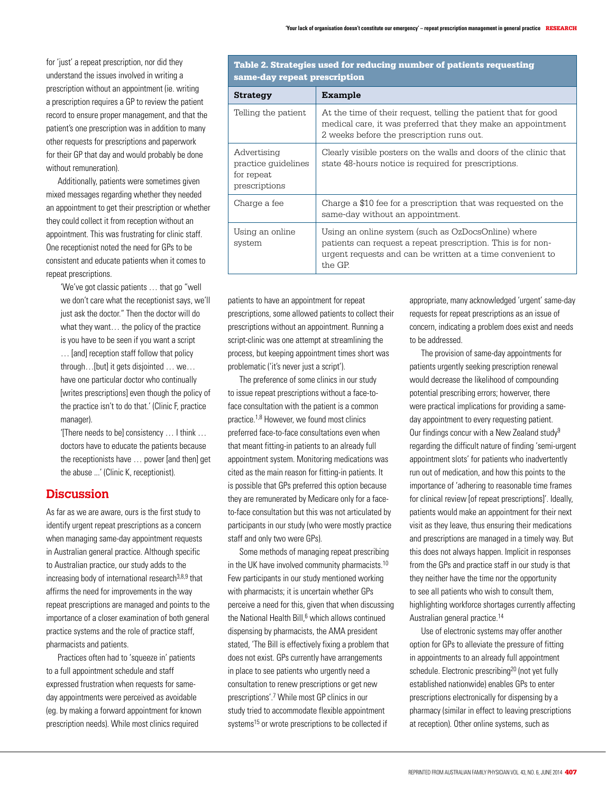for 'just' a repeat prescription, nor did they understand the issues involved in writing a prescription without an appointment (ie. writing a prescription requires a GP to review the patient record to ensure proper management, and that the patient's one prescription was in addition to many other requests for prescriptions and paperwork for their GP that day and would probably be done without remuneration).

Additionally, patients were sometimes given mixed messages regarding whether they needed an appointment to get their prescription or whether they could collect it from reception without an appointment. This was frustrating for clinic staff. One receptionist noted the need for GPs to be consistent and educate patients when it comes to repeat prescriptions.

'We've got classic patients … that go "well we don't care what the receptionist says, we'll just ask the doctor." Then the doctor will do what they want… the policy of the practice is you have to be seen if you want a script

… [and] reception staff follow that policy through…[but] it gets disjointed … we… have one particular doctor who continually [writes prescriptions] even though the policy of the practice isn't to do that.' (Clinic F, practice manager).

'[There needs to be] consistency … I think … doctors have to educate the patients because the receptionists have … power [and then] get the abuse ...' (Clinic K, receptionist).

## **Discussion**

As far as we are aware, ours is the first study to identify urgent repeat prescriptions as a concern when managing same-day appointment requests in Australian general practice. Although specific to Australian practice, our study adds to the increasing body of international research $3,8,9$  that affirms the need for improvements in the way repeat prescriptions are managed and points to the importance of a closer examination of both general practice systems and the role of practice staff, pharmacists and patients.

Practices often had to 'squeeze in' patients to a full appointment schedule and staff expressed frustration when requests for sameday appointments were perceived as avoidable (eg. by making a forward appointment for known prescription needs). While most clinics required

Table 2. Strategies used for reducing number of patients requesting same-day repeat prescription

| <b>Strategy</b>                                                   | <b>Example</b>                                                                                                                                                                               |  |  |  |
|-------------------------------------------------------------------|----------------------------------------------------------------------------------------------------------------------------------------------------------------------------------------------|--|--|--|
| Telling the patient                                               | At the time of their request, telling the patient that for good<br>medical care, it was preferred that they make an appointment<br>2 weeks before the prescription runs out.                 |  |  |  |
| Advertising<br>practice quidelines<br>for repeat<br>prescriptions | Clearly visible posters on the walls and doors of the clinic that<br>state 48-hours notice is required for prescriptions.                                                                    |  |  |  |
| Charge a fee                                                      | Charge a \$10 fee for a prescription that was requested on the<br>same-day without an appointment.                                                                                           |  |  |  |
| Using an online<br>system                                         | Using an online system (such as OzDocsOnline) where<br>patients can request a repeat prescription. This is for non-<br>urgent requests and can be written at a time convenient to<br>the GP. |  |  |  |

patients to have an appointment for repeat prescriptions, some allowed patients to collect their prescriptions without an appointment. Running a script-clinic was one attempt at streamlining the process, but keeping appointment times short was problematic ('it's never just a script').

The preference of some clinics in our study to issue repeat prescriptions without a face-toface consultation with the patient is a common practice.1,8 However, we found most clinics preferred face-to-face consultations even when that meant fitting-in patients to an already full appointment system. Monitoring medications was cited as the main reason for fitting-in patients. It is possible that GPs preferred this option because they are remunerated by Medicare only for a faceto-face consultation but this was not articulated by participants in our study (who were mostly practice staff and only two were GPs).

Some methods of managing repeat prescribing in the UK have involved community pharmacists.<sup>10</sup> Few participants in our study mentioned working with pharmacists; it is uncertain whether GPs perceive a need for this, given that when discussing the National Health Bill,<sup>6</sup> which allows continued dispensing by pharmacists, the AMA president stated, 'The Bill is effectively fixing a problem that does not exist. GPs currently have arrangements in place to see patients who urgently need a consultation to renew prescriptions or get new prescriptions'.7 While most GP clinics in our study tried to accommodate flexible appointment systems<sup>15</sup> or wrote prescriptions to be collected if

appropriate, many acknowledged 'urgent' same-day requests for repeat prescriptions as an issue of concern, indicating a problem does exist and needs to be addressed.

The provision of same-day appointments for patients urgently seeking prescription renewal would decrease the likelihood of compounding potential prescribing errors; howerver, there were practical implications for providing a sameday appointment to every requesting patient. Our findings concur with a New Zealand study9 regarding the difficult nature of finding 'semi-urgent appointment slots' for patients who inadvertently run out of medication, and how this points to the importance of 'adhering to reasonable time frames for clinical review [of repeat prescriptions]'. Ideally, patients would make an appointment for their next visit as they leave, thus ensuring their medications and prescriptions are managed in a timely way. But this does not always happen. Implicit in responses from the GPs and practice staff in our study is that they neither have the time nor the opportunity to see all patients who wish to consult them, highlighting workforce shortages currently affecting Australian general practice.14

Use of electronic systems may offer another option for GPs to alleviate the pressure of fitting in appointments to an already full appointment schedule. Electronic prescribing<sup>20</sup> (not yet fully established nationwide) enables GPs to enter prescriptions electronically for dispensing by a pharmacy (similar in effect to leaving prescriptions at reception). Other online systems, such as